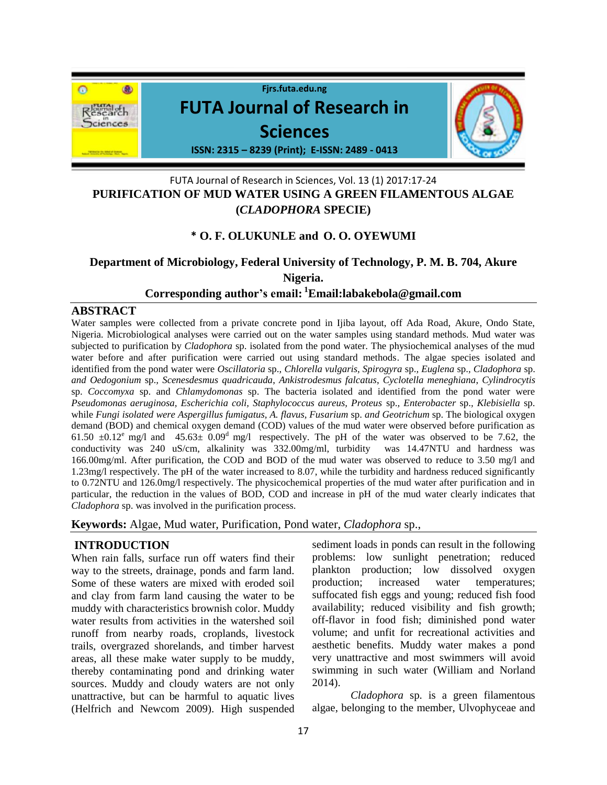

## FUTA Journal of Research in Sciences, Vol. 13 (1) 2017:17-24 **PURIFICATION OF MUD WATER USING A GREEN FILAMENTOUS ALGAE (***CLADOPHORA* **SPECIE)**

## **\* O. F. OLUKUNLE and O. O. OYEWUMI**

# **Department of Microbiology, Federal University of Technology, P. M. B. 704, Akure Nigeria.**

## **Corresponding author's email: <sup>1</sup>Email:labakebola@gmail.com**

### **ABSTRACT**

Water samples were collected from a private concrete pond in Ijiba layout, off Ada Road, Akure, Ondo State, Nigeria. Microbiological analyses were carried out on the water samples using standard methods. Mud water was subjected to purification by *Cladophora* sp. isolated from the pond water. The physiochemical analyses of the mud water before and after purification were carried out using standard methods. The algae species isolated and identified from the pond water were *Oscillatoria* sp.*, Chlorella vulgaris, Spirogyra* sp.*, Euglena* sp.*, Cladophora* sp. *and Oedogonium* sp.*, Scenesdesmus quadricauda*, *Ankistrodesmus falcatus*, *Cyclotella meneghiana*, *Cylindrocytis*  sp. *Coccomyxa* sp. and *Chlamydomonas* sp. The bacteria isolated and identified from the pond water were *Pseudomonas aeruginosa, Escherichia coli, Staphylococcus aureus, Proteus* sp.*, Enterobacter* sp.*, Klebisiella* sp. while *Fungi isolated were Aspergillus fumigatus, A. flavus, Fusarium* sp. *and Geotrichum* sp. The biological oxygen demand (BOD) and chemical oxygen demand (COD) values of the mud water were observed before purification as 61.50  $\pm$ 0.12<sup>e</sup> mg/l and 45.63 $\pm$  0.09<sup>d</sup> mg/l respectively. The pH of the water was observed to be 7.62, the conductivity was 240 uS/cm, alkalinity was 332.00mg/ml, turbidity was 14.47NTU and hardness was 166.00mg/ml. After purification, the COD and BOD of the mud water was observed to reduce to 3.50 mg/l and 1.23mg/l respectively. The pH of the water increased to 8.07, while the turbidity and hardness reduced significantly to 0.72NTU and 126.0mg/l respectively. The physicochemical properties of the mud water after purification and in particular, the reduction in the values of BOD, COD and increase in pH of the mud water clearly indicates that *Cladophora* sp. was involved in the purification process.

**Keywords:** Algae, Mud water, Purification, Pond water, *Cladophora* sp.,

## **INTRODUCTION**

When rain falls, surface run off waters find their way to the streets, drainage, ponds and farm land. Some of these waters are mixed with eroded soil and clay from farm land causing the water to be muddy with characteristics brownish color. Muddy water results from activities in the watershed soil runoff from nearby roads, croplands, livestock trails, overgrazed shorelands, and timber harvest areas, all these make water supply to be muddy, thereby contaminating pond and drinking water sources. Muddy and cloudy waters are not only unattractive, but can be harmful to aquatic lives (Helfrich and Newcom 2009). High suspended

sediment loads in ponds can result in the following problems: low sunlight penetration; reduced plankton production; low dissolved oxygen production; increased water temperatures; suffocated fish eggs and young; reduced fish food availability; reduced visibility and fish growth; off-flavor in food fish; diminished pond water volume; and unfit for recreational activities and aesthetic benefits. Muddy water makes a pond very unattractive and most swimmers will avoid swimming in such water (William and Norland 2014).

*Cladophora* sp. is a green filamentous algae, belonging to the member, Ulvophyceae and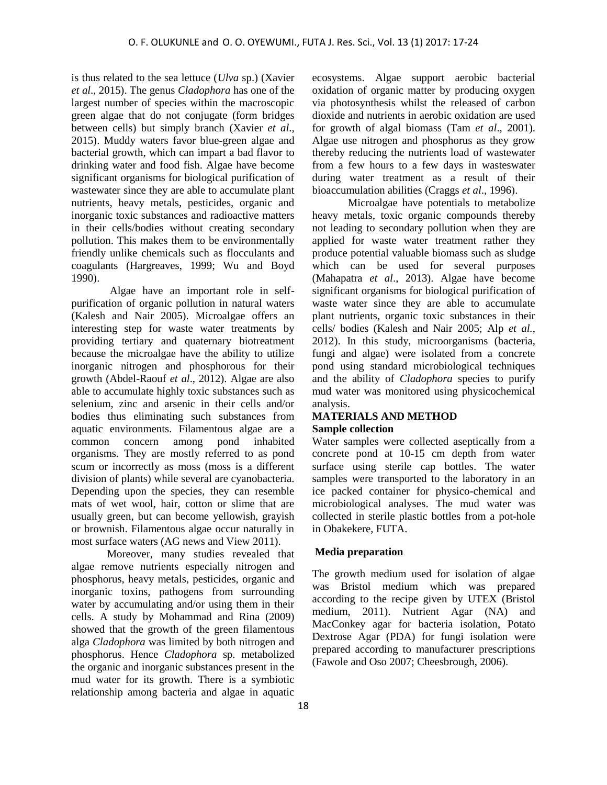is thus related to the sea lettuce (*Ulva* sp.) (Xavier *et al*., 2015). The genus *Cladophora* has one of the largest number of species within the macroscopic green algae that do not conjugate (form bridges between cells) but simply branch (Xavier *et al*., 2015). Muddy waters favor blue-green algae and bacterial growth, which can impart a bad flavor to drinking water and food fish. Algae have become significant organisms for biological purification of wastewater since they are able to accumulate plant nutrients, heavy metals, pesticides, organic and inorganic toxic substances and radioactive matters in their cells/bodies without creating secondary pollution. This makes them to be environmentally friendly unlike chemicals such as flocculants and coagulants (Hargreaves, 1999; Wu and Boyd 1990).

Algae have an important role in selfpurification of organic pollution in natural waters (Kalesh and Nair 2005). Microalgae offers an interesting step for waste water treatments by providing tertiary and quaternary biotreatment because the microalgae have the ability to utilize inorganic nitrogen and phosphorous for their growth (Abdel-Raouf *et al*., 2012). Algae are also able to accumulate highly toxic substances such as selenium, zinc and arsenic in their cells and/or bodies thus eliminating such substances from aquatic environments. Filamentous algae are a common concern among pond inhabited organisms. They are mostly referred to as pond scum or incorrectly as moss (moss is a different division of plants) while several are cyanobacteria. Depending upon the species, they can resemble mats of wet wool, hair, cotton or slime that are usually green, but can become yellowish, grayish or brownish. Filamentous algae occur naturally in most surface waters (AG news and View 2011).

Moreover, many studies revealed that algae remove nutrients especially nitrogen and phosphorus, heavy metals, pesticides, organic and inorganic toxins, pathogens from surrounding water by accumulating and/or using them in their cells. A study by Mohammad and Rina (2009) showed that the growth of the green filamentous alga *Cladophora* was limited by both nitrogen and phosphorus. Hence *Cladophora* sp. metabolized the organic and inorganic substances present in the mud water for its growth. There is a symbiotic relationship among bacteria and algae in aquatic

ecosystems. Algae support aerobic bacterial oxidation of organic matter by producing oxygen via photosynthesis whilst the released of carbon dioxide and nutrients in aerobic oxidation are used for growth of algal biomass (Tam *et al*., 2001). Algae use nitrogen and phosphorus as they grow thereby reducing the nutrients load of wastewater from a few hours to a few days in wasteswater during water treatment as a result of their bioaccumulation abilities (Craggs *et al*., 1996).

Microalgae have potentials to metabolize heavy metals, toxic organic compounds thereby not leading to secondary pollution when they are applied for waste water treatment rather they produce potential valuable biomass such as sludge which can be used for several purposes (Mahapatra *et al*., 2013). Algae have become significant organisms for biological purification of waste water since they are able to accumulate plant nutrients, organic toxic substances in their cells/ bodies (Kalesh and Nair 2005; Alp *et al.*, 2012). In this study, microorganisms (bacteria, fungi and algae) were isolated from a concrete pond using standard microbiological techniques and the ability of *Cladophora* species to purify mud water was monitored using physicochemical analysis.

#### **MATERIALS AND METHOD Sample collection**

Water samples were collected aseptically from a concrete pond at 10-15 cm depth from water surface using sterile cap bottles. The water samples were transported to the laboratory in an ice packed container for physico-chemical and microbiological analyses. The mud water was collected in sterile plastic bottles from a pot-hole in Obakekere, FUTA.

#### **Media preparation**

The growth medium used for isolation of algae was Bristol medium which was prepared according to the recipe given by UTEX (Bristol medium, 2011). Nutrient Agar (NA) and MacConkey agar for bacteria isolation, Potato Dextrose Agar (PDA) for fungi isolation were prepared according to manufacturer prescriptions (Fawole and Oso 2007; Cheesbrough, 2006).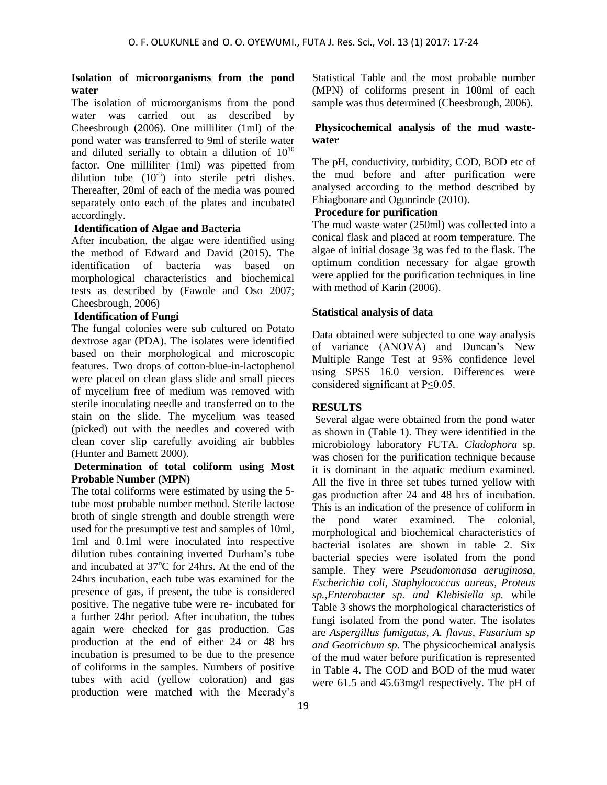#### **Isolation of microorganisms from the pond water**

The isolation of microorganisms from the pond water was carried out as described by Cheesbrough (2006). One milliliter (1ml) of the pond water was transferred to 9ml of sterile water and diluted serially to obtain a dilution of  $10^{10}$ factor. One milliliter (1ml) was pipetted from dilution tube  $(10^{-3})$  into sterile petri dishes. Thereafter, 20ml of each of the media was poured separately onto each of the plates and incubated accordingly.

#### **Identification of Algae and Bacteria**

After incubation, the algae were identified using the method of Edward and David (2015). The identification of bacteria was based on morphological characteristics and biochemical tests as described by (Fawole and Oso 2007; Cheesbrough, 2006)

#### **Identification of Fungi**

The fungal colonies were sub cultured on Potato dextrose agar (PDA). The isolates were identified based on their morphological and microscopic features. Two drops of cotton-blue-in-lactophenol were placed on clean glass slide and small pieces of mycelium free of medium was removed with sterile inoculating needle and transferred on to the stain on the slide. The mycelium was teased (picked) out with the needles and covered with clean cover slip carefully avoiding air bubbles (Hunter and Bamett 2000).

#### **Determination of total coliform using Most Probable Number (MPN)**

The total coliforms were estimated by using the 5 tube most probable number method. Sterile lactose broth of single strength and double strength were used for the presumptive test and samples of 10ml, 1ml and 0.1ml were inoculated into respective dilution tubes containing inverted Durham's tube and incubated at  $37^{\circ}$ C for 24hrs. At the end of the 24hrs incubation, each tube was examined for the presence of gas, if present, the tube is considered positive. The negative tube were re- incubated for a further 24hr period. After incubation, the tubes again were checked for gas production. Gas production at the end of either 24 or 48 hrs incubation is presumed to be due to the presence of coliforms in the samples. Numbers of positive tubes with acid (yellow coloration) and gas production were matched with the Mecrady's

Statistical Table and the most probable number (MPN) of coliforms present in 100ml of each sample was thus determined (Cheesbrough, 2006).

#### **Physicochemical analysis of the mud wastewater**

The pH, conductivity, turbidity, COD, BOD etc of the mud before and after purification were analysed according to the method described by Ehiagbonare and Ogunrinde (2010).

#### **Procedure for purification**

The mud waste water (250ml) was collected into a conical flask and placed at room temperature. The algae of initial dosage 3g was fed to the flask. The optimum condition necessary for algae growth were applied for the purification techniques in line with method of Karin (2006).

#### **Statistical analysis of data**

Data obtained were subjected to one way analysis of variance (ANOVA) and Duncan's New Multiple Range Test at 95% confidence level using SPSS 16.0 version. Differences were considered significant at P≤0.05.

#### **RESULTS**

Several algae were obtained from the pond water as shown in (Table 1). They were identified in the microbiology laboratory FUTA. *Cladophora* sp. was chosen for the purification technique because it is dominant in the aquatic medium examined. All the five in three set tubes turned yellow with gas production after 24 and 48 hrs of incubation. This is an indication of the presence of coliform in the pond water examined. The colonial, morphological and biochemical characteristics of bacterial isolates are shown in table 2. Six bacterial species were isolated from the pond sample. They were *Pseudomonasa aeruginosa, Escherichia coli, Staphylococcus aureus, Proteus sp.,Enterobacter sp. and Klebisiella sp.* while Table 3 shows the morphological characteristics of fungi isolated from the pond water. The isolates are *Aspergillus fumigatus, A. flavus, Fusarium sp and Geotrichum sp*. The physicochemical analysis of the mud water before purification is represented in Table 4. The COD and BOD of the mud water were 61.5 and 45.63mg/l respectively. The pH of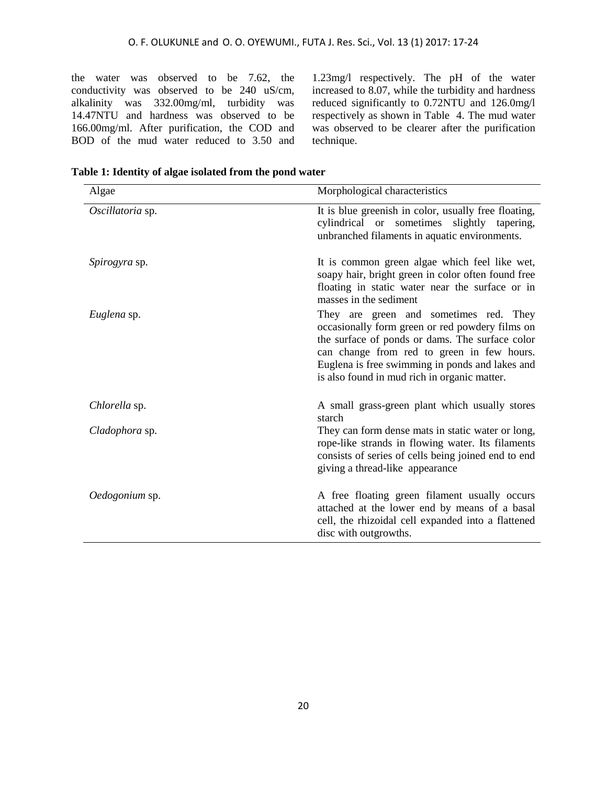the water was observed to be 7.62, the conductivity was observed to be 240 uS/cm, alkalinity was 332.00mg/ml, turbidity was 14.47NTU and hardness was observed to be 166.00mg/ml. After purification, the COD and BOD of the mud water reduced to 3.50 and

1.23mg/l respectively. The pH of the water increased to 8.07, while the turbidity and hardness reduced significantly to 0.72NTU and 126.0mg/l respectively as shown in Table 4. The mud water was observed to be clearer after the purification technique.

| Algae                | Morphological characteristics                                                                                                                                                                                                                                                                 |  |  |
|----------------------|-----------------------------------------------------------------------------------------------------------------------------------------------------------------------------------------------------------------------------------------------------------------------------------------------|--|--|
| Oscillatoria sp.     | It is blue greenish in color, usually free floating,<br>cylindrical or sometimes slightly tapering,<br>unbranched filaments in aquatic environments.                                                                                                                                          |  |  |
| <i>Spirogyra</i> sp. | It is common green algae which feel like wet,<br>soapy hair, bright green in color often found free<br>floating in static water near the surface or in<br>masses in the sediment                                                                                                              |  |  |
| Euglena sp.          | They are green and sometimes red. They<br>occasionally form green or red powdery films on<br>the surface of ponds or dams. The surface color<br>can change from red to green in few hours.<br>Euglena is free swimming in ponds and lakes and<br>is also found in mud rich in organic matter. |  |  |
| Chlorella sp.        | A small grass-green plant which usually stores<br>starch                                                                                                                                                                                                                                      |  |  |
| Cladophora sp.       | They can form dense mats in static water or long,<br>rope-like strands in flowing water. Its filaments<br>consists of series of cells being joined end to end<br>giving a thread-like appearance                                                                                              |  |  |
| Oedogonium sp.       | A free floating green filament usually occurs<br>attached at the lower end by means of a basal<br>cell, the rhizoidal cell expanded into a flattened<br>disc with outgrowths.                                                                                                                 |  |  |

**Table 1: Identity of algae isolated from the pond water**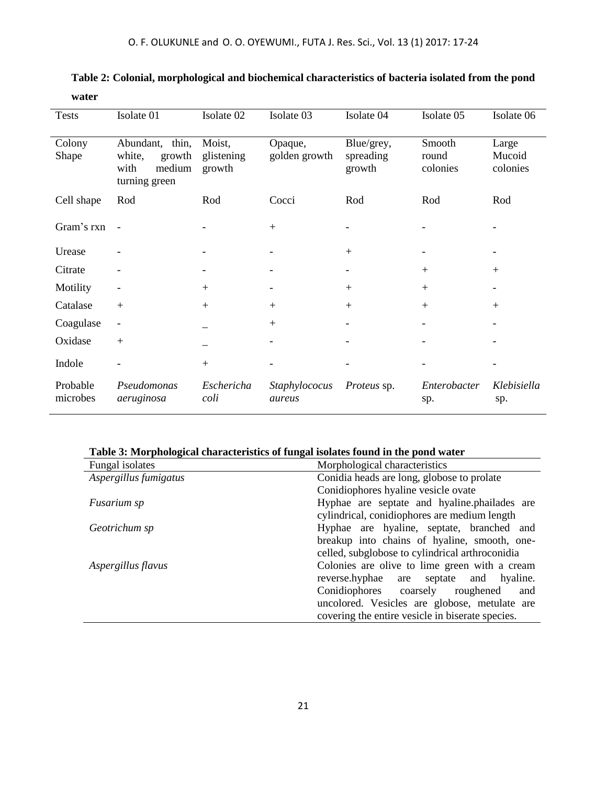| <b>Tests</b>         | Isolate 01                                                             | Isolate 02                     | Isolate 03               | Isolate 04                        | Isolate 05                  | Isolate 06                  |
|----------------------|------------------------------------------------------------------------|--------------------------------|--------------------------|-----------------------------------|-----------------------------|-----------------------------|
| Colony<br>Shape      | Abundant, thin,<br>white,<br>growth<br>medium<br>with<br>turning green | Moist,<br>glistening<br>growth | Opaque,<br>golden growth | Blue/grey,<br>spreading<br>growth | Smooth<br>round<br>colonies | Large<br>Mucoid<br>colonies |
| Cell shape           | Rod                                                                    | Rod                            | Cocci                    | Rod                               | Rod                         | Rod                         |
| Gram's rxn           | $\sim$                                                                 |                                | $+$                      |                                   |                             |                             |
| Urease               |                                                                        |                                |                          | $+$                               |                             |                             |
| Citrate              |                                                                        |                                |                          |                                   | $^{+}$                      | $+$                         |
| Motility             |                                                                        | $+$                            |                          | $+$                               | $+$                         |                             |
| Catalase             | $+$                                                                    | $+$                            | $+$                      | $+$                               | $+$                         | $+$                         |
| Coagulase            | $\overline{\phantom{0}}$                                               |                                | $+$                      |                                   |                             |                             |
| Oxidase              | $+$                                                                    |                                |                          |                                   |                             |                             |
| Indole               |                                                                        | $+$                            |                          |                                   |                             |                             |
| Probable<br>microbes | Pseudomonas<br>aeruginosa                                              | Eschericha<br>coli             | Staphylococus<br>aureus  | <i>Proteus</i> sp.                | Enterobacter<br>sp.         | Klebisiella<br>sp.          |

## **Table 2: Colonial, morphological and biochemical characteristics of bacteria isolated from the pond water**

### **Table 3: Morphological characteristics of fungal isolates found in the pond water**

| Fungal isolates       | Morphological characteristics                                                                   |  |  |
|-----------------------|-------------------------------------------------------------------------------------------------|--|--|
| Aspergillus fumigatus | Conidia heads are long, globose to prolate                                                      |  |  |
|                       | Conidiophores hyaline vesicle ovate                                                             |  |  |
| <i>Fusarium sp</i>    | Hyphae are septate and hyaline.phailades are                                                    |  |  |
|                       | cylindrical, conidiophores are medium length                                                    |  |  |
| Geotrichum sp         | Hyphae are hyaline, septate, branched and                                                       |  |  |
|                       | breakup into chains of hyaline, smooth, one-<br>celled, subglobose to cylindrical arthroconidia |  |  |
|                       |                                                                                                 |  |  |
| Aspergillus flavus    | Colonies are olive to lime green with a cream                                                   |  |  |
|                       | reverse.hyphae are<br>septate and hyaline.                                                      |  |  |
|                       | Conidiophores coarsely roughened<br>and                                                         |  |  |
|                       | uncolored. Vesicles are globose, metulate are                                                   |  |  |
|                       | covering the entire vesicle in biserate species.                                                |  |  |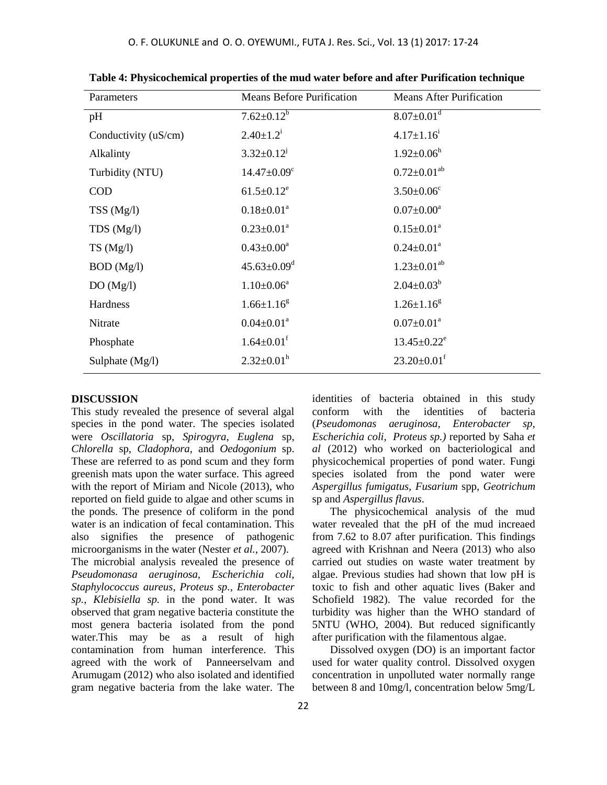| Parameters           | <b>Means Before Purification</b> | <b>Means After Purification</b> |
|----------------------|----------------------------------|---------------------------------|
| pH                   | $7.62 \pm 0.12^b$                | $8.07 \pm 0.01$ <sup>d</sup>    |
| Conductivity (uS/cm) | $2.40 \pm 1.2^i$                 | $4.17 \pm 1.16^i$               |
| Alkalinty            | $3.32 \pm 0.12^{j}$              | $1.92 \pm 0.06^h$               |
| Turbidity (NTU)      | $14.47 \pm 0.09$ <sup>c</sup>    | $0.72 \pm 0.01^{ab}$            |
| <b>COD</b>           | $61.5 \pm 0.12^e$                | $3.50 \pm 0.06$ <sup>c</sup>    |
| TSS(Mg/l)            | $0.18 \pm 0.01^a$                | $0.07 \pm 0.00^a$               |
| TDS(Mg/l)            | $0.23 \pm 0.01^a$                | $0.15 \pm 0.01^a$               |
| TS(Mg/l)             | $0.43 \pm 0.00^a$                | $0.24 \pm 0.01^a$               |
| BOD (Mg/l)           | $45.63 \pm 0.09$ <sup>d</sup>    | $1.23 \pm 0.01^{ab}$            |
| DO(Mg/l)             | $1.10 \pm 0.06^a$                | $2.04 \pm 0.03^b$               |
| Hardness             | $1.66 \pm 1.16^8$                | $1.26 \pm 1.16^8$               |
| Nitrate              | $0.04 \pm 0.01^a$                | $0.07 \pm 0.01^a$               |
| Phosphate            | $1.64 \pm 0.01$ <sup>f</sup>     | $13.45 \pm 0.22^e$              |
| Sulphate $(Mg/l)$    | $2.32 \pm 0.01^h$                | $23.20 \pm 0.01$ <sup>f</sup>   |
|                      |                                  |                                 |

**Table 4: Physicochemical properties of the mud water before and after Purification technique**

#### **DISCUSSION**

This study revealed the presence of several algal species in the pond water. The species isolated were *Oscillatoria* sp, *Spirogyra*, *Euglena* sp, *Chlorella* sp, *Cladophora*, and *Oedogonium* sp. These are referred to as pond scum and they form greenish mats upon the water surface. This agreed with the report of Miriam and Nicole (2013), who reported on field guide to algae and other scums in the ponds. The presence of coliform in the pond water is an indication of fecal contamination. This also signifies the presence of pathogenic microorganisms in the water (Nester *et al.*, 2007). The microbial analysis revealed the presence of *Pseudomonasa aeruginosa, Escherichia coli, Staphylococcus aureus, Proteus sp., Enterobacter sp., Klebisiella sp.* in the pond water. It was observed that gram negative bacteria constitute the most genera bacteria isolated from the pond water.This may be as a result of high contamination from human interference. This agreed with the work of Panneerselvam and Arumugam (2012) who also isolated and identified gram negative bacteria from the lake water. The

identities of bacteria obtained in this study conform with the identities of bacteria (*Pseudomonas aeruginosa, Enterobacter sp, Escherichia coli, Proteus sp.)* reported by Saha *et al* (2012) who worked on bacteriological and physicochemical properties of pond water. Fungi species isolated from the pond water were *Aspergillus fumigatus, Fusarium* spp, *Geotrichum* sp and *Aspergillus flavus*.

The physicochemical analysis of the mud water revealed that the pH of the mud increaed from 7.62 to 8.07 after purification. This findings agreed with Krishnan and Neera (2013) who also carried out studies on waste water treatment by algae. Previous studies had shown that low pH is toxic to fish and other aquatic lives (Baker and Schofield 1982). The value recorded for the turbidity was higher than the WHO standard of 5NTU (WHO, 2004). But reduced significantly after purification with the filamentous algae.

Dissolved oxygen (DO) is an important factor used for water quality control. Dissolved oxygen concentration in unpolluted water normally range between 8 and 10mg/l, concentration below 5mg/L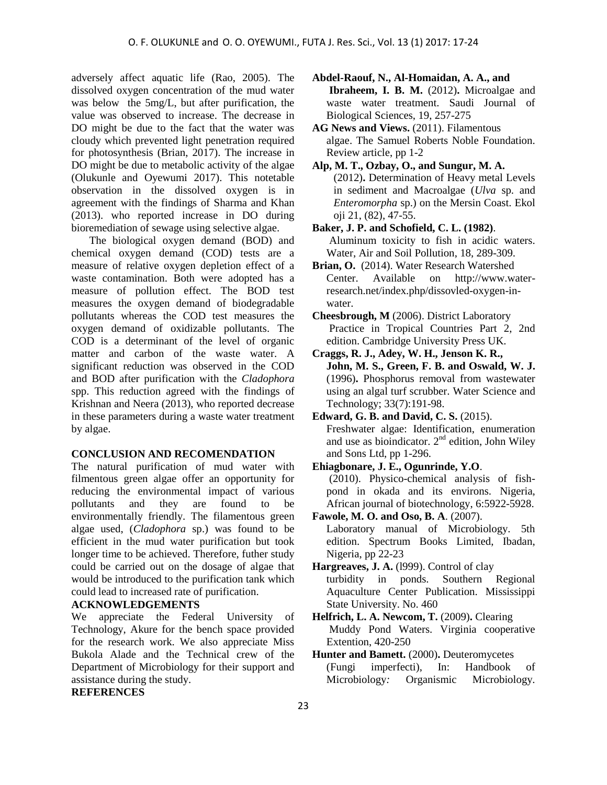adversely affect aquatic life (Rao, 2005). The dissolved oxygen concentration of the mud water was below the 5mg/L, but after purification, the value was observed to increase. The decrease in DO might be due to the fact that the water was cloudy which prevented light penetration required for photosynthesis (Brian, 2017). The increase in DO might be due to metabolic activity of the algae (Olukunle and Oyewumi 2017). This notetable observation in the dissolved oxygen is in agreement with the findings of Sharma and Khan (2013). who reported increase in DO during bioremediation of sewage using selective algae.

The biological oxygen demand (BOD) and chemical oxygen demand (COD) tests are a measure of relative oxygen depletion effect of a waste contamination. Both were adopted has a measure of pollution effect. The BOD test measures the oxygen demand of biodegradable pollutants whereas the COD test measures the oxygen demand of oxidizable pollutants. The COD is a determinant of the level of organic matter and carbon of the waste water. A significant reduction was observed in the COD and BOD after purification with the *Cladophora*  spp. This reduction agreed with the findings of Krishnan and Neera (2013), who reported decrease in these parameters during a waste water treatment by algae.

#### **CONCLUSION AND RECOMENDATION**

The natural purification of mud water with filmentous green algae offer an opportunity for reducing the environmental impact of various pollutants and they are found to be environmentally friendly. The filamentous green algae used, (*Cladophora* sp.) was found to be efficient in the mud water purification but took longer time to be achieved. Therefore, futher study could be carried out on the dosage of algae that would be introduced to the purification tank which could lead to increased rate of purification.

#### **ACKNOWLEDGEMENTS**

We appreciate the Federal University of Technology, Akure for the bench space provided for the research work. We also appreciate Miss Bukola Alade and the Technical crew of the Department of Microbiology for their support and assistance during the study.

#### **REFERENCES**

**Abdel-Raouf, N., Al-Homaidan, A. A., and Ibraheem, I. B. M.** (2012)**.** Microalgae and waste water treatment. Saudi Journal of Biological Sciences, 19, 257-275

- **AG News and Views.** (2011). Filamentous algae. The Samuel Roberts Noble Foundation. Review article, pp 1-2
- **Alp, M. T., Ozbay, O., and Sungur, M. A.** (2012)**.** Determination of Heavy metal Levels in sediment and Macroalgae (*Ulva* sp. and *Enteromorpha* sp.) on the Mersin Coast. Ekol oji 21, (82), 47-55.
- **Baker, J. P. and Schofield, C. L. (1982)**. Aluminum toxicity to fish in acidic waters. Water, Air and Soil Pollution, 18, 289-309.
- **Brian, O.** (2014). Water Research Watershed Center. Available on http://www.waterresearch.net/index.php/dissovled-oxygen-inwater.
- **Cheesbrough, M** (2006). District Laboratory Practice in Tropical Countries Part 2, 2nd edition. Cambridge University Press UK.
- **Craggs, R. J., Adey, W. H., Jenson K. R., John, M. S., Green, F. B. and Oswald, W. J.** (1996)**.** Phosphorus removal from wastewater using an algal turf scrubber. Water Science and Technology; 33(7):191-98.
- **Edward, G. B. and David, C. S.** (2015). Freshwater algae: Identification, enumeration and use as bioindicator.  $2<sup>nd</sup>$  edition, John Wiley and Sons Ltd, pp 1-296.
- **Ehiagbonare, J. E., Ogunrinde, Y.O**.

(2010). Physico-chemical analysis of fishpond in okada and its environs. Nigeria, African journal of biotechnology, 6:5922-5928.

- **Fawole, M. O. and Oso, B. A**. (2007). Laboratory manual of Microbiology. 5th edition. Spectrum Books Limited, Ibadan, Nigeria, pp 22-23
- Hargreaves, J. A. (1999). Control of clay turbidity in ponds. Southern Regional Aquaculture Center Publication. Mississippi State University. No. 460
- **Helfrich, L. A. Newcom, T.** (2009)**.** Clearing Muddy Pond Waters. Virginia cooperative Extention, 420-250
- **Hunter and Bamett.** (2000)**.** Deuteromycetes (Fungi imperfecti), In: Handbook of Microbiology*:* Organismic Microbiology.